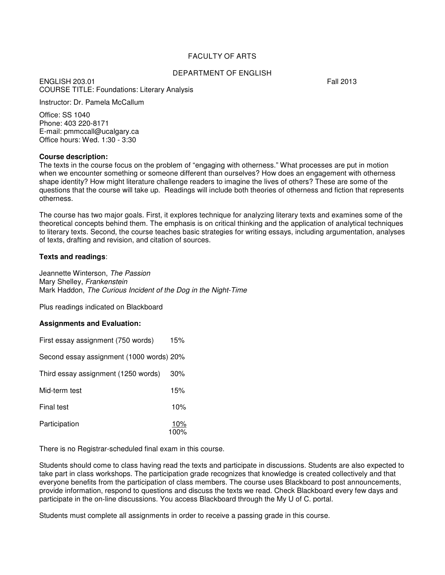## FACULTY OF ARTS

#### DEPARTMENT OF ENGLISH

ENGLISH 203.01 Fall 2013 COURSE TITLE: Foundations: Literary Analysis

Instructor: Dr. Pamela McCallum

Office: SS 1040 Phone: 403 220-8171 E-mail: pmmccall@ucalgary.ca Office hours: Wed. 1:30 - 3:30

#### **Course description:**

The texts in the course focus on the problem of "engaging with otherness." What processes are put in motion when we encounter something or someone different than ourselves? How does an engagement with otherness shape identity? How might literature challenge readers to imagine the lives of others? These are some of the questions that the course will take up. Readings will include both theories of otherness and fiction that represents otherness.

The course has two major goals. First, it explores technique for analyzing literary texts and examines some of the theoretical concepts behind them. The emphasis is on critical thinking and the application of analytical techniques to literary texts. Second, the course teaches basic strategies for writing essays, including argumentation, analyses of texts, drafting and revision, and citation of sources.

#### **Texts and readings**:

Jeannette Winterson, The Passion Mary Shelley, Frankenstein Mark Haddon, The Curious Incident of the Dog in the Night-Time

Plus readings indicated on Blackboard

#### **Assignments and Evaluation:**

| First essay assignment (750 words)       | 15%         |
|------------------------------------------|-------------|
| Second essay assignment (1000 words) 20% |             |
| Third essay assignment (1250 words)      | $30\%$      |
| Mid-term test                            | 15%         |
| Final test                               | 10%         |
| Participation                            | 10%<br>100% |

There is no Registrar-scheduled final exam in this course.

Students should come to class having read the texts and participate in discussions. Students are also expected to take part in class workshops. The participation grade recognizes that knowledge is created collectively and that everyone benefits from the participation of class members. The course uses Blackboard to post announcements, provide information, respond to questions and discuss the texts we read. Check Blackboard every few days and participate in the on-line discussions. You access Blackboard through the My U of C. portal.

Students must complete all assignments in order to receive a passing grade in this course.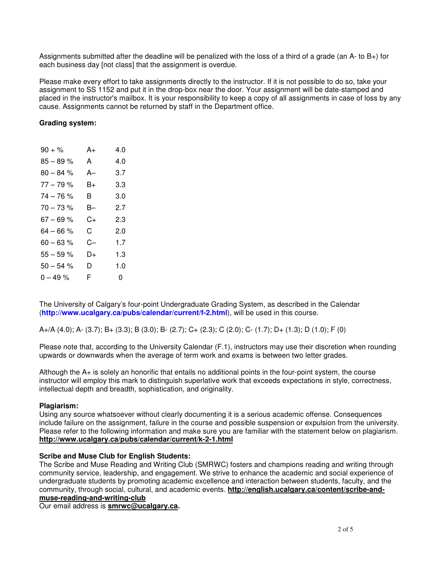Assignments submitted after the deadline will be penalized with the loss of a third of a grade (an A- to B+) for each business day [not class] that the assignment is overdue.

Please make every effort to take assignments directly to the instructor. If it is not possible to do so, take your assignment to SS 1152 and put it in the drop-box near the door. Your assignment will be date-stamped and placed in the instructor's mailbox. It is your responsibility to keep a copy of all assignments in case of loss by any cause. Assignments cannot be returned by staff in the Department office.

### **Grading system:**

| $90 + \%$    | A+ | 4.0 |
|--------------|----|-----|
| $85 - 89 %$  | A  | 4.0 |
| $80 - 84 %$  | A– | 3.7 |
| $77 - 79%$   | B+ | 3.3 |
| $74 - 76%$   | В  | 3.0 |
| $70 - 73%$   | B– | 2.7 |
| $67 - 69 %$  | C+ | 2.3 |
| $64 - 66 %$  | C. | 2.0 |
| $60 - 63 %$  | C– | 1.7 |
| $55 - 59 \%$ | D+ | 1.3 |
| $50 - 54 %$  | D. | 1.0 |
| $0 - 49 \%$  | F  | 0   |

The University of Calgary's four-point Undergraduate Grading System, as described in the Calendar (**http://www.ucalgary.ca/pubs/calendar/current/f-2.html**), will be used in this course.

A+/A (4.0); A- (3.7); B+ (3.3); B (3.0); B- (2.7); C+ (2.3); C (2.0); C- (1.7); D+ (1.3); D (1.0); F (0)

Please note that, according to the University Calendar (F.1), instructors may use their discretion when rounding upwards or downwards when the average of term work and exams is between two letter grades.

Although the A+ is solely an honorific that entails no additional points in the four-point system, the course instructor will employ this mark to distinguish superlative work that exceeds expectations in style, correctness, intellectual depth and breadth, sophistication, and originality.

### **Plagiarism:**

Using any source whatsoever without clearly documenting it is a serious academic offense. Consequences include failure on the assignment, failure in the course and possible suspension or expulsion from the university. Please refer to the following information and make sure you are familiar with the statement below on plagiarism. **http://www.ucalgary.ca/pubs/calendar/current/k-2-1.html** 

## **Scribe and Muse Club for English Students:**

The Scribe and Muse Reading and Writing Club (SMRWC) fosters and champions reading and writing through community service, leadership, and engagement. We strive to enhance the academic and social experience of undergraduate students by promoting academic excellence and interaction between students, faculty, and the community, through social, cultural, and academic events. **http://english.ucalgary.ca/content/scribe-andmuse-reading-and-writing-club** 

Our email address is **smrwc@ucalgary.ca.**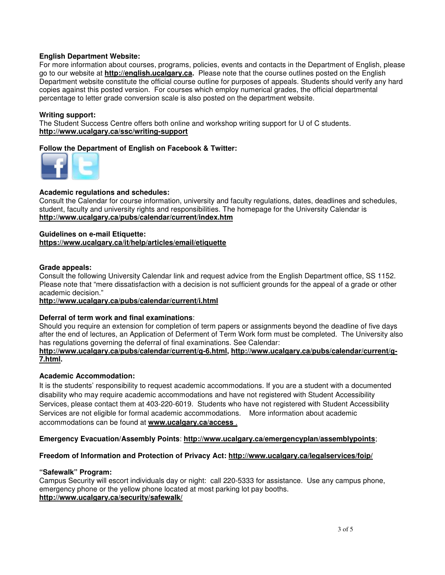### **English Department Website:**

For more information about courses, programs, policies, events and contacts in the Department of English, please go to our website at **http://english.ucalgary.ca.** Please note that the course outlines posted on the English Department website constitute the official course outline for purposes of appeals. Students should verify any hard copies against this posted version. For courses which employ numerical grades, the official departmental percentage to letter grade conversion scale is also posted on the department website.

### **Writing support:**

The Student Success Centre offers both online and workshop writing support for U of C students. **http://www.ucalgary.ca/ssc/writing-support**

## **Follow the Department of English on Facebook & Twitter:**



### **Academic regulations and schedules:**

Consult the Calendar for course information, university and faculty regulations, dates, deadlines and schedules, student, faculty and university rights and responsibilities. The homepage for the University Calendar is **http://www.ucalgary.ca/pubs/calendar/current/index.htm**

#### **Guidelines on e-mail Etiquette: https://www.ucalgary.ca/it/help/articles/email/etiquette**

### **Grade appeals:**

Consult the following University Calendar link and request advice from the English Department office, SS 1152. Please note that "mere dissatisfaction with a decision is not sufficient grounds for the appeal of a grade or other academic decision."

### **http://www.ucalgary.ca/pubs/calendar/current/i.html**

### **Deferral of term work and final examinations**:

Should you require an extension for completion of term papers or assignments beyond the deadline of five days after the end of lectures, an Application of Deferment of Term Work form must be completed. The University also has regulations governing the deferral of final examinations. See Calendar:

### **http://www.ucalgary.ca/pubs/calendar/current/g-6.html, http://www.ucalgary.ca/pubs/calendar/current/g-7.html.**

### **Academic Accommodation:**

It is the students' responsibility to request academic accommodations. If you are a student with a documented disability who may require academic accommodations and have not registered with Student Accessibility Services, please contact them at 403-220-6019. Students who have not registered with Student Accessibility Services are not eligible for formal academic accommodations. More information about academic accommodations can be found at **www.ucalgary.ca/access** .

### **Emergency Evacuation/Assembly Points**: **http://www.ucalgary.ca/emergencyplan/assemblypoints**;

### **Freedom of Information and Protection of Privacy Act: http://www.ucalgary.ca/legalservices/foip/**

### **"Safewalk" Program:**

Campus Security will escort individuals day or night: call 220-5333 for assistance. Use any campus phone, emergency phone or the yellow phone located at most parking lot pay booths. **http://www.ucalgary.ca/security/safewalk/**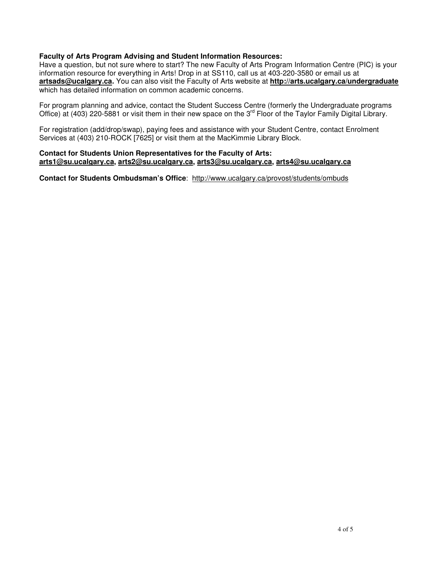## **Faculty of Arts Program Advising and Student Information Resources:**

Have a question, but not sure where to start? The new Faculty of Arts Program Information Centre (PIC) is your information resource for everything in Arts! Drop in at SS110, call us at 403-220-3580 or email us at **artsads@ucalgary.ca.** You can also visit the Faculty of Arts website at **http://arts.ucalgary.ca/undergraduate**  which has detailed information on common academic concerns.

For program planning and advice, contact the Student Success Centre (formerly the Undergraduate programs Office) at (403) 220-5881 or visit them in their new space on the 3rd Floor of the Taylor Family Digital Library.

For registration (add/drop/swap), paying fees and assistance with your Student Centre, contact Enrolment Services at (403) 210-ROCK [7625] or visit them at the MacKimmie Library Block.

## **Contact for Students Union Representatives for the Faculty of Arts: arts1@su.ucalgary.ca, arts2@su.ucalgary.ca, arts3@su.ucalgary.ca, arts4@su.ucalgary.ca**

**Contact for Students Ombudsman's Office**: http://www.ucalgary.ca/provost/students/ombuds